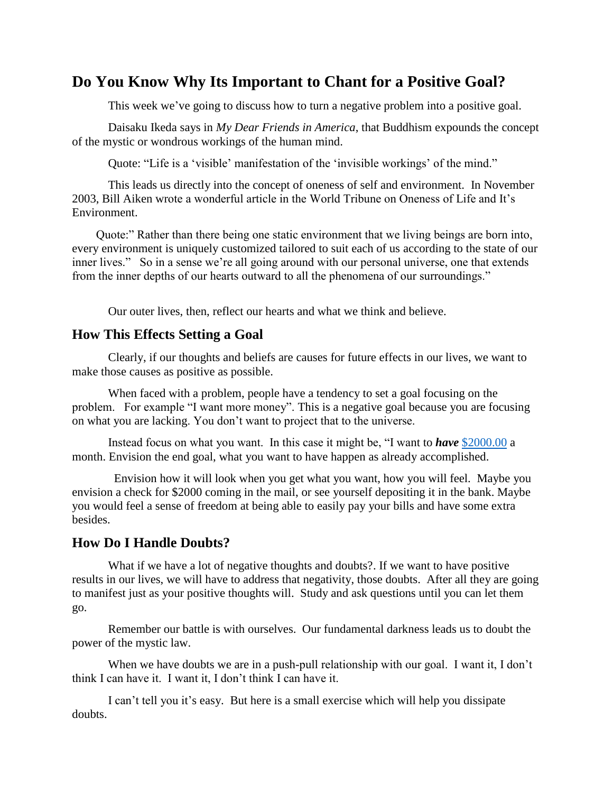# **Do You Know Why Its Important to Chant for a Positive Goal?**

This week we've going to discuss how to turn a negative problem into a positive goal.

Daisaku Ikeda says in *My Dear Friends in America*, that Buddhism expounds the concept of the mystic or wondrous workings of the human mind.

Quote: "Life is a 'visible' manifestation of the 'invisible workings' of the mind."

This leads us directly into the concept of oneness of self and environment. In November 2003, Bill Aiken wrote a wonderful article in the World Tribune on Oneness of Life and It's Environment.

 Quote:" Rather than there being one static environment that we living beings are born into, every environment is uniquely customized tailored to suit each of us according to the state of our inner lives." So in a sense we're all going around with our personal universe, one that extends from the inner depths of our hearts outward to all the phenomena of our surroundings."

Our outer lives, then, reflect our hearts and what we think and believe.

#### **How This Effects Setting a Goal**

Clearly, if our thoughts and beliefs are causes for future effects in our lives, we want to make those causes as positive as possible.

When faced with a problem, people have a tendency to set a goal focusing on the problem. For example "I want more money". This is a negative goal because you are focusing on what you are lacking. You don't want to project that to the universe.

Instead focus on what you want. In this case it might be, "I want to *have* [\\$2000.00](mailto:$@000.00) a month. Envision the end goal, what you want to have happen as already accomplished.

 Envision how it will look when you get what you want, how you will feel. Maybe you envision a check for \$2000 coming in the mail, or see yourself depositing it in the bank. Maybe you would feel a sense of freedom at being able to easily pay your bills and have some extra besides.

## **How Do I Handle Doubts?**

What if we have a lot of negative thoughts and doubts?. If we want to have positive results in our lives, we will have to address that negativity, those doubts. After all they are going to manifest just as your positive thoughts will. Study and ask questions until you can let them go.

Remember our battle is with ourselves. Our fundamental darkness leads us to doubt the power of the mystic law.

When we have doubts we are in a push-pull relationship with our goal. I want it, I don't think I can have it. I want it, I don't think I can have it.

I can't tell you it's easy. But here is a small exercise which will help you dissipate doubts.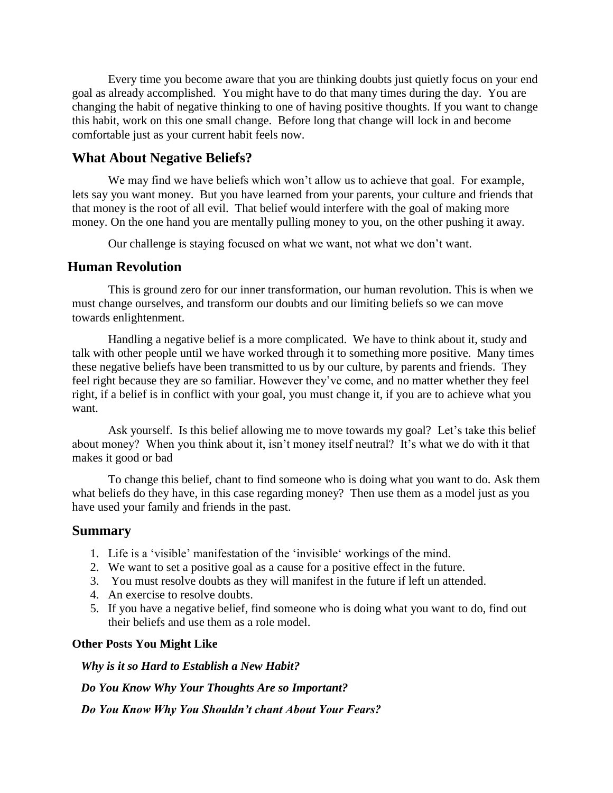Every time you become aware that you are thinking doubts just quietly focus on your end goal as already accomplished. You might have to do that many times during the day. You are changing the habit of negative thinking to one of having positive thoughts. If you want to change this habit, work on this one small change. Before long that change will lock in and become comfortable just as your current habit feels now.

#### **What About Negative Beliefs?**

We may find we have beliefs which won't allow us to achieve that goal. For example, lets say you want money. But you have learned from your parents, your culture and friends that that money is the root of all evil. That belief would interfere with the goal of making more money. On the one hand you are mentally pulling money to you, on the other pushing it away.

Our challenge is staying focused on what we want, not what we don't want.

#### **Human Revolution**

This is ground zero for our inner transformation, our human revolution. This is when we must change ourselves, and transform our doubts and our limiting beliefs so we can move towards enlightenment.

Handling a negative belief is a more complicated. We have to think about it, study and talk with other people until we have worked through it to something more positive. Many times these negative beliefs have been transmitted to us by our culture, by parents and friends. They feel right because they are so familiar. However they've come, and no matter whether they feel right, if a belief is in conflict with your goal, you must change it, if you are to achieve what you want.

Ask yourself. Is this belief allowing me to move towards my goal? Let's take this belief about money? When you think about it, isn't money itself neutral? It's what we do with it that makes it good or bad

To change this belief, chant to find someone who is doing what you want to do. Ask them what beliefs do they have, in this case regarding money? Then use them as a model just as you have used your family and friends in the past.

#### **Summary**

- 1. Life is a 'visible' manifestation of the 'invisible' workings of the mind.
- 2. We want to set a positive goal as a cause for a positive effect in the future.
- 3. You must resolve doubts as they will manifest in the future if left un attended.
- 4. An exercise to resolve doubts.
- 5. If you have a negative belief, find someone who is doing what you want to do, find out their beliefs and use them as a role model.

#### **Other Posts You Might Like**

 *Why is it so Hard to Establish a New Habit?*

 *Do You Know Why Your Thoughts Are so Important?*

 *Do You Know Why You Shouldn't chant About Your Fears?*